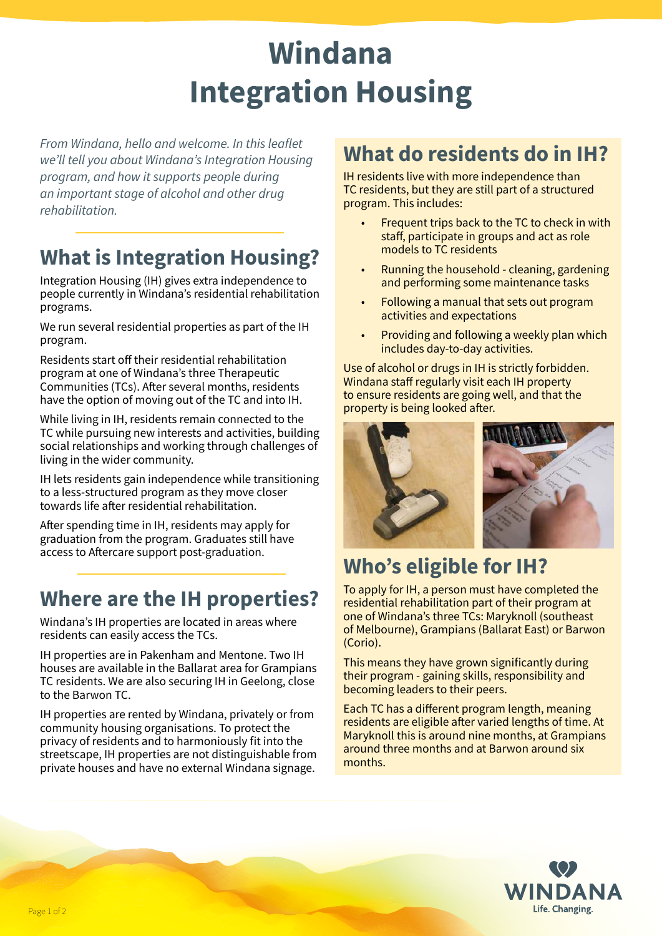# **Windana Integration Housing**

*From Windana, hello and welcome. In this leaflet we'll tell you about Windana's Integration Housing program, and how it supports people during an important stage of alcohol and other drug rehabilitation.*

## **What is Integration Housing?**

Integration Housing (IH) gives extra independence to people currently in Windana's residential rehabilitation programs.

We run several residential properties as part of the IH program.

Residents start off their residential rehabilitation program at one of Windana's three Therapeutic Communities (TCs). After several months, residents have the option of moving out of the TC and into IH.

While living in IH, residents remain connected to the TC while pursuing new interests and activities, building social relationships and working through challenges of living in the wider community.

IH lets residents gain independence while transitioning to a less-structured program as they move closer towards life after residential rehabilitation.

After spending time in IH, residents may apply for graduation from the program. Graduates still have access to Aftercare support post-graduation.

## **Where are the IH properties?**

Windana's IH properties are located in areas where residents can easily access the TCs.

IH properties are in Pakenham and Mentone. Two IH houses are available in the Ballarat area for Grampians TC residents. We are also securing IH in Geelong, close to the Barwon TC.

IH properties are rented by Windana, privately or from community housing organisations. To protect the privacy of residents and to harmoniously fit into the streetscape, IH properties are not distinguishable from private houses and have no external Windana signage.

#### **What do residents do in IH?**

IH residents live with more independence than TC residents, but they are still part of a structured program. This includes:

- Frequent trips back to the TC to check in with staff, participate in groups and act as role models to TC residents
- Running the household cleaning, gardening and performing some maintenance tasks
- Following a manual that sets out program activities and expectations
- Providing and following a weekly plan which includes day-to-day activities.

Use of alcohol or drugs in IH is strictly forbidden. Windana staff regularly visit each IH property to ensure residents are going well, and that the property is being looked after.



# **Who's eligible for IH?**

To apply for IH, a person must have completed the residential rehabilitation part of their program at one of Windana's three TCs: Maryknoll (southeast of Melbourne), Grampians (Ballarat East) or Barwon (Corio).

This means they have grown significantly during their program - gaining skills, responsibility and becoming leaders to their peers.

Each TC has a different program length, meaning residents are eligible after varied lengths of time. At Maryknoll this is around nine months, at Grampians around three months and at Barwon around six months.